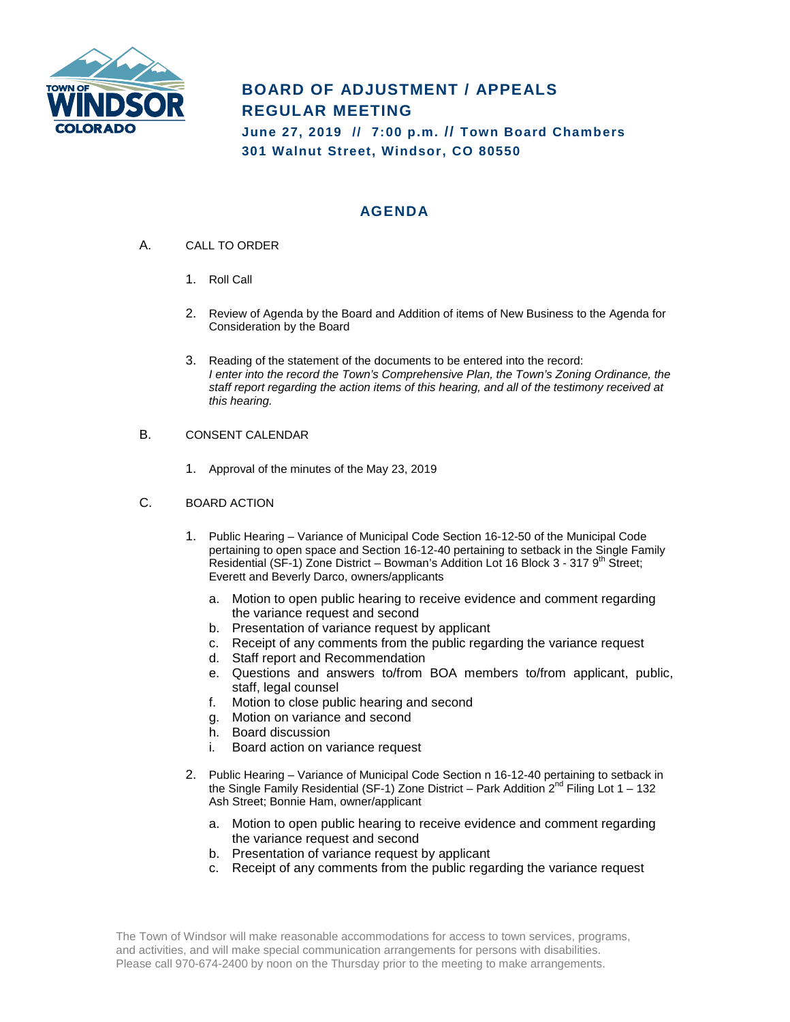

## **BOARD OF ADJUSTMENT / APPEALS REGULAR MEETING**

**June 27, 2019 // 7:00 p.m. // Town Board Chambers 301 Walnut Street, Windsor, CO 80550**

## **AGENDA**

- A. CALL TO ORDER
	- 1. Roll Call
	- 2. Review of Agenda by the Board and Addition of items of New Business to the Agenda for Consideration by the Board
	- 3. Reading of the statement of the documents to be entered into the record: *I enter into the record the Town's Comprehensive Plan, the Town's Zoning Ordinance, the staff report regarding the action items of this hearing, and all of the testimony received at this hearing.*
- B. CONSENT CALENDAR
	- 1. Approval of the minutes of the May 23, 2019
- C. BOARD ACTION
	- 1. Public Hearing Variance of Municipal Code Section 16-12-50 of the Municipal Code pertaining to open space and Section 16-12-40 pertaining to setback in the Single Family Residential (SF-1) Zone District – Bowman's Addition Lot 16 Block 3 - 317 9<sup>th</sup> Street; Everett and Beverly Darco, owners/applicants
		- a. Motion to open public hearing to receive evidence and comment regarding the variance request and second
		- b. Presentation of variance request by applicant
		- c. Receipt of any comments from the public regarding the variance request
		- d. Staff report and Recommendation
		- e. Questions and answers to/from BOA members to/from applicant, public, staff, legal counsel
		- f. Motion to close public hearing and second
		- g. Motion on variance and second
		- h. Board discussion
		- i. Board action on variance request
	- 2. Public Hearing Variance of Municipal Code Section n 16-12-40 pertaining to setback in the Single Family Residential (SF-1) Zone District – Park Addition  $2^{nd}$  Filing Lot 1 – 132 Ash Street; Bonnie Ham, owner/applicant
		- a. Motion to open public hearing to receive evidence and comment regarding the variance request and second
		- b. Presentation of variance request by applicant
		- c. Receipt of any comments from the public regarding the variance request